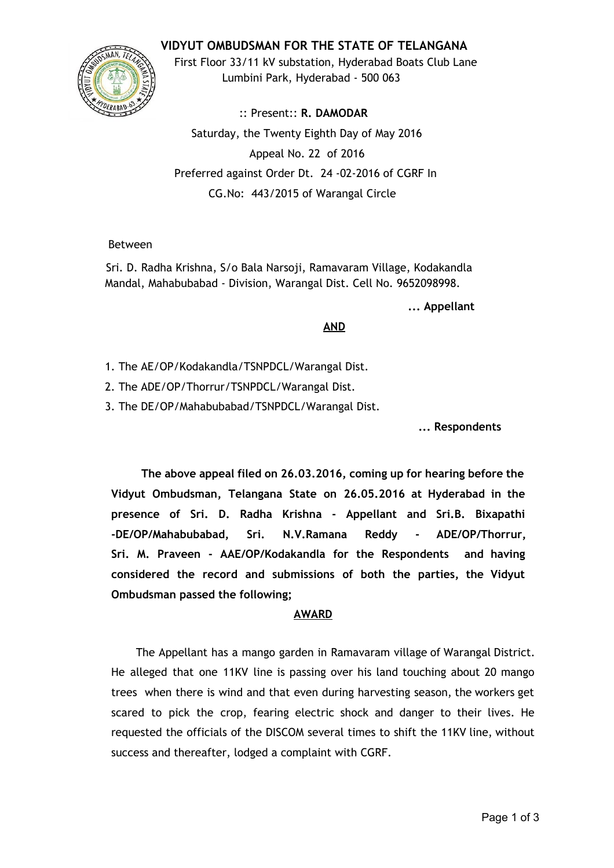**VIDYUT OMBUDSMAN FOR THE STATE OF TELANGANA**



First Floor 33/11 kV substation, Hyderabad Boats Club Lane Lumbini Park, Hyderabad ‐ 500 063

:: Present:: **R. DAMODAR** Saturday, the Twenty Eighth Day of May 2016 Appeal No. 22 of 2016 Preferred against Order Dt. 24 ‐02‐2016 of CGRF In CG.No: 443/2015 of Warangal Circle

# Between

Sri. D. Radha Krishna, S/o Bala Narsoji, Ramavaram Village, Kodakandla Mandal, Mahabubabad ‐ Division, Warangal Dist. Cell No. 9652098998.

**... Appellant**

### **AND**

- 1. The AE/OP/Kodakandla/TSNPDCL/Warangal Dist.
- 2. The ADE/OP/Thorrur/TSNPDCL/Warangal Dist.
- 3. The DE/OP/Mahabubabad/TSNPDCL/Warangal Dist.

**... Respondents**

**The above appeal filed on 26.03.2016, coming up for hearing before the Vidyut Ombudsman, Telangana State on 26.05.2016 at Hyderabad in the presence of Sri. D. Radha Krishna ‐ Appellant and Sri.B. Bixapathi ‐DE/OP/Mahabubabad, Sri. N.V.Ramana Reddy ‐ ADE/OP/Thorrur, Sri. M. Praveen ‐ AAE/OP/Kodakandla for the Respondents and having considered the record and submissions of both the parties, the Vidyut Ombudsman passed the following;**

# **AWARD**

The Appellant has a mango garden in Ramavaram village of Warangal District. He alleged that one 11KV line is passing over his land touching about 20 mango trees when there is wind and that even during harvesting season, the workers get scared to pick the crop, fearing electric shock and danger to their lives. He requested the officials of the DISCOM several times to shift the 11KV line, without success and thereafter, lodged a complaint with CGRF.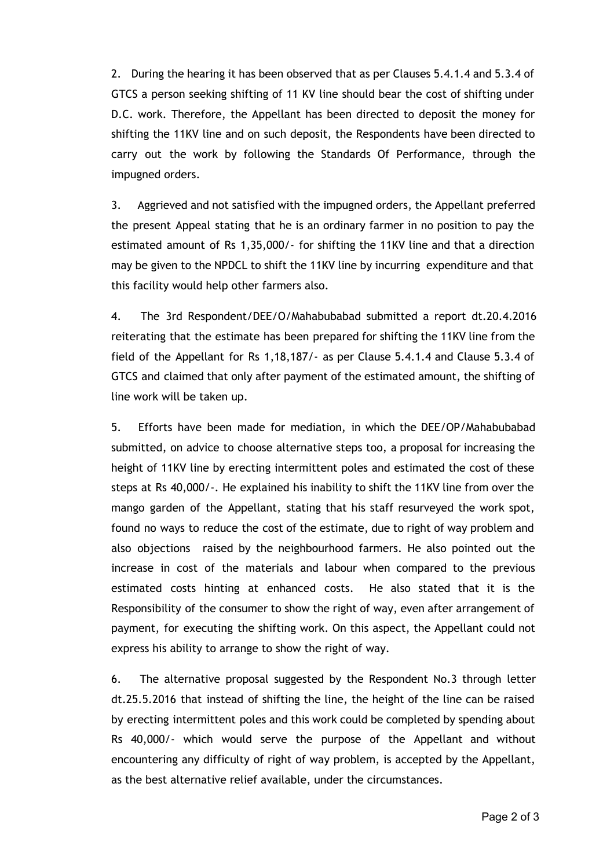2. During the hearing it has been observed that as per Clauses 5.4.1.4 and 5.3.4 of GTCS a person seeking shifting of 11 KV line should bear the cost of shifting under D.C. work. Therefore, the Appellant has been directed to deposit the money for shifting the 11KV line and on such deposit, the Respondents have been directed to carry out the work by following the Standards Of Performance, through the impugned orders.

3. Aggrieved and not satisfied with the impugned orders, the Appellant preferred the present Appeal stating that he is an ordinary farmer in no position to pay the estimated amount of Rs 1,35,000/‐ for shifting the 11KV line and that a direction may be given to the NPDCL to shift the 11KV line by incurring expenditure and that this facility would help other farmers also.

4. The 3rd Respondent/DEE/O/Mahabubabad submitted a report dt.20.4.2016 reiterating that the estimate has been prepared for shifting the 11KV line from the field of the Appellant for Rs 1,18,187/‐ as per Clause 5.4.1.4 and Clause 5.3.4 of GTCS and claimed that only after payment of the estimated amount, the shifting of line work will be taken up.

5. Efforts have been made for mediation, in which the DEE/OP/Mahabubabad submitted, on advice to choose alternative steps too, a proposal for increasing the height of 11KV line by erecting intermittent poles and estimated the cost of these steps at Rs 40,000/‐. He explained his inability to shift the 11KV line from over the mango garden of the Appellant, stating that his staff resurveyed the work spot, found no ways to reduce the cost of the estimate, due to right of way problem and also objections raised by the neighbourhood farmers. He also pointed out the increase in cost of the materials and labour when compared to the previous estimated costs hinting at enhanced costs. He also stated that it is the Responsibility of the consumer to show the right of way, even after arrangement of payment, for executing the shifting work. On this aspect, the Appellant could not express his ability to arrange to show the right of way.

6. The alternative proposal suggested by the Respondent No.3 through letter dt.25.5.2016 that instead of shifting the line, the height of the line can be raised by erecting intermittent poles and this work could be completed by spending about Rs 40,000/‐ which would serve the purpose of the Appellant and without encountering any difficulty of right of way problem, is accepted by the Appellant, as the best alternative relief available, under the circumstances.